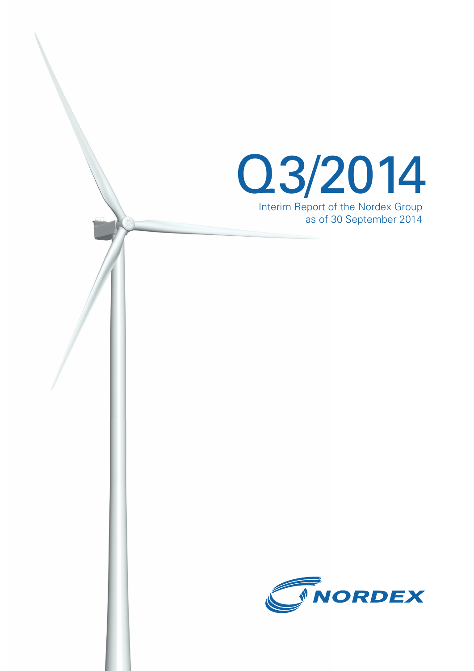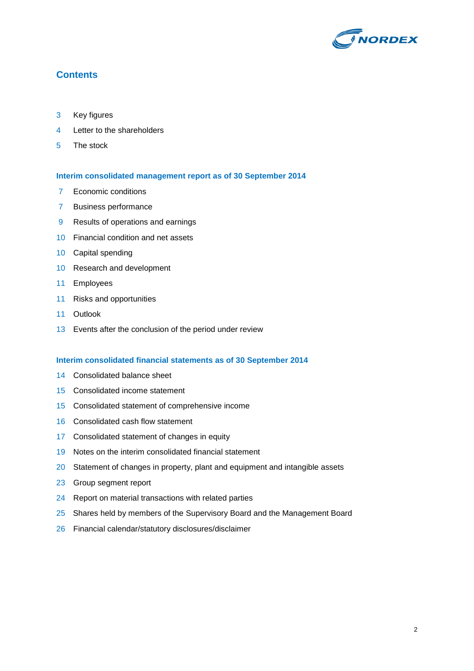

# **Contents**

- Key figures
- Letter to the shareholders
- The stock

### **Interim consolidated management report as of 30 September 2014**

- 7 Economic conditions
- Business performance
- Results of operations and earnings
- Financial condition and net assets
- Capital spending
- Research and development
- Employees
- Risks and opportunities
- Outlook
- Events after the conclusion of the period under review

### **Interim consolidated financial statements as of 30 September 2014**

- Consolidated balance sheet
- Consolidated income statement
- Consolidated statement of comprehensive income
- Consolidated cash flow statement
- Consolidated statement of changes in equity
- Notes on the interim consolidated financial statement
- 20 Statement of changes in property, plant and equipment and intangible assets
- Group segment report
- 24 Report on material transactions with related parties
- 25 Shares held by members of the Supervisory Board and the Management Board
- Financial calendar/statutory disclosures/disclaimer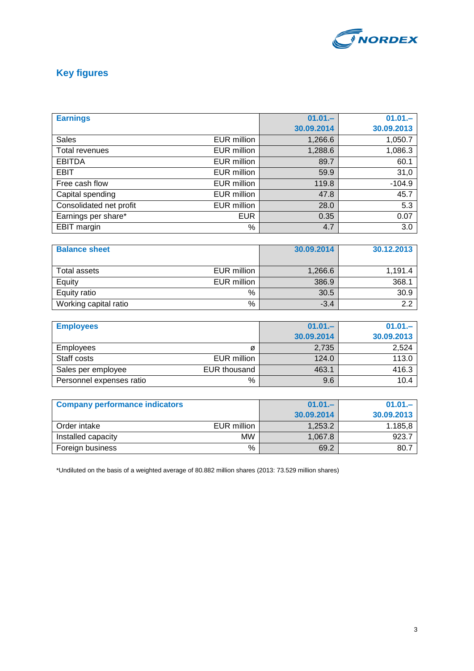

# **Key figures**

| <b>Earnings</b>         |                    | $01.01 -$  | $01.01 -$  |
|-------------------------|--------------------|------------|------------|
|                         |                    | 30.09.2014 | 30.09.2013 |
| <b>Sales</b>            | EUR million        | 1,266.6    | 1,050.7    |
| Total revenues          | <b>EUR million</b> | 1,288.6    | 1,086.3    |
| <b>EBITDA</b>           | EUR million        | 89.7       | 60.1       |
| <b>EBIT</b>             | EUR million        | 59.9       | 31,0       |
| Free cash flow          | <b>EUR million</b> | 119.8      | $-104.9$   |
| Capital spending        | EUR million        | 47.8       | 45.7       |
| Consolidated net profit | <b>EUR million</b> | 28.0       | 5.3        |
| Earnings per share*     | <b>EUR</b>         | 0.35       | 0.07       |
| <b>EBIT</b> margin      | %                  | 4.7        | 3.0        |

| <b>Balance sheet</b>        | 30.09.2014     | 30.12.2013 |
|-----------------------------|----------------|------------|
|                             |                |            |
| EUR million<br>Total assets | 1,266.6        | 1,191.4    |
| Equity<br>EUR million       | 386.9          | 368.1      |
| Equity ratio                | 30.5<br>%      | 30.9       |
| Working capital ratio       | $\%$<br>$-3.4$ | っっ         |

| <b>Employees</b>         |              | $01.01 -$  | $01.01 -$  |
|--------------------------|--------------|------------|------------|
|                          |              | 30.09.2014 | 30.09.2013 |
| <b>Employees</b>         | Ø            | 2,735      | 2,524      |
| Staff costs              | EUR million  | 124.0      | 113.0      |
| Sales per employee       | EUR thousand | 463.1      | 416.3      |
| Personnel expenses ratio | %            | 9.6        | 10.4       |

| <b>Company performance indicators</b> |             | $01.01 -$  | $01.01 -$  |
|---------------------------------------|-------------|------------|------------|
|                                       |             | 30.09.2014 | 30.09.2013 |
| Order intake                          | EUR million | 1.253.2    | 1.185.8    |
| Installed capacity                    | <b>MW</b>   | 1.067.8    | $923 -$    |
| Foreign business                      | %           | 69.2       | 80.7       |

\*Undiluted on the basis of a weighted average of 80.882 million shares (2013: 73.529 million shares)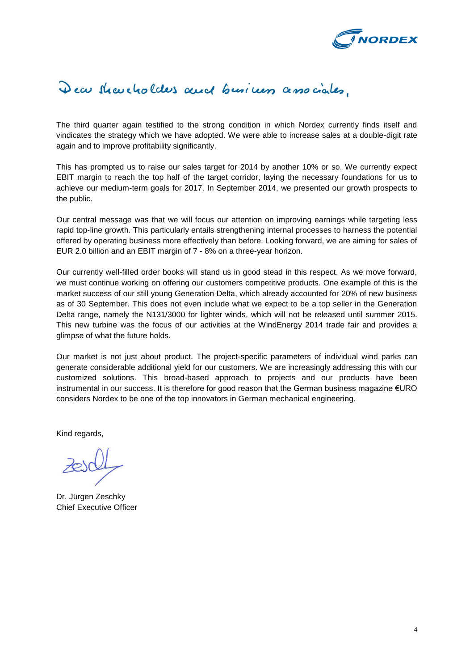

# Dear shareholders and business associates.

The third quarter again testified to the strong condition in which Nordex currently finds itself and vindicates the strategy which we have adopted. We were able to increase sales at a double-digit rate again and to improve profitability significantly.

This has prompted us to raise our sales target for 2014 by another 10% or so. We currently expect EBIT margin to reach the top half of the target corridor, laying the necessary foundations for us to achieve our medium-term goals for 2017. In September 2014, we presented our growth prospects to the public.

Our central message was that we will focus our attention on improving earnings while targeting less rapid top-line growth. This particularly entails strengthening internal processes to harness the potential offered by operating business more effectively than before. Looking forward, we are aiming for sales of EUR 2.0 billion and an EBIT margin of 7 - 8% on a three-year horizon.

Our currently well-filled order books will stand us in good stead in this respect. As we move forward, we must continue working on offering our customers competitive products. One example of this is the market success of our still young Generation Delta, which already accounted for 20% of new business as of 30 September. This does not even include what we expect to be a top seller in the Generation Delta range, namely the N131/3000 for lighter winds, which will not be released until summer 2015. This new turbine was the focus of our activities at the WindEnergy 2014 trade fair and provides a glimpse of what the future holds.

Our market is not just about product. The project-specific parameters of individual wind parks can generate considerable additional yield for our customers. We are increasingly addressing this with our customized solutions. This broad-based approach to projects and our products have been instrumental in our success. It is therefore for good reason that the German business magazine €URO considers Nordex to be one of the top innovators in German mechanical engineering.

Kind regards,

Dr. Jürgen Zeschky Chief Executive Officer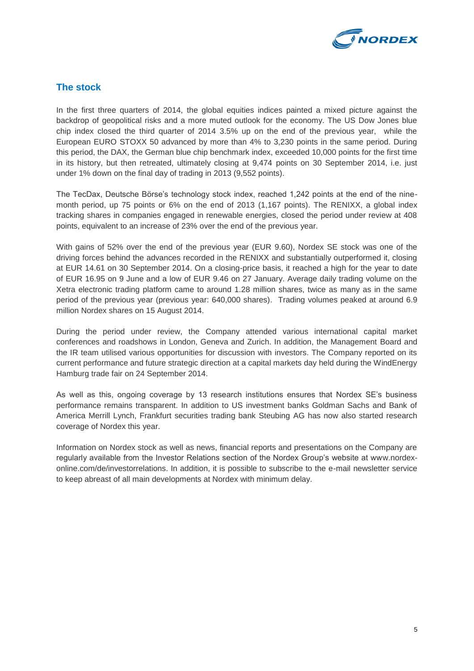

# **The stock**

In the first three quarters of 2014, the global equities indices painted a mixed picture against the backdrop of geopolitical risks and a more muted outlook for the economy. The US Dow Jones blue chip index closed the third quarter of 2014 3.5% up on the end of the previous year, while the European EURO STOXX 50 advanced by more than 4% to 3,230 points in the same period. During this period, the DAX, the German blue chip benchmark index, exceeded 10,000 points for the first time in its history, but then retreated, ultimately closing at 9,474 points on 30 September 2014, i.e. just under 1% down on the final day of trading in 2013 (9,552 points).

The TecDax, Deutsche Börse's technology stock index, reached 1,242 points at the end of the ninemonth period, up 75 points or 6% on the end of 2013 (1,167 points). The RENIXX, a global index tracking shares in companies engaged in renewable energies, closed the period under review at 408 points, equivalent to an increase of 23% over the end of the previous year.

With gains of 52% over the end of the previous year (EUR 9.60), Nordex SE stock was one of the driving forces behind the advances recorded in the RENIXX and substantially outperformed it, closing at EUR 14.61 on 30 September 2014. On a closing-price basis, it reached a high for the year to date of EUR 16.95 on 9 June and a low of EUR 9.46 on 27 January. Average daily trading volume on the Xetra electronic trading platform came to around 1.28 million shares, twice as many as in the same period of the previous year (previous year: 640,000 shares). Trading volumes peaked at around 6.9 million Nordex shares on 15 August 2014.

During the period under review, the Company attended various international capital market conferences and roadshows in London, Geneva and Zurich. In addition, the Management Board and the IR team utilised various opportunities for discussion with investors. The Company reported on its current performance and future strategic direction at a capital markets day held during the WindEnergy Hamburg trade fair on 24 September 2014.

As well as this, ongoing coverage by 13 research institutions ensures that Nordex SE's business performance remains transparent. In addition to US investment banks Goldman Sachs and Bank of America Merrill Lynch, Frankfurt securities trading bank Steubing AG has now also started research coverage of Nordex this year.

Information on Nordex stock as well as news, financial reports and presentations on the Company are regularly available from the Investor Relations section of the Nordex Group's website at www.nordexonline.com/de/investorrelations. In addition, it is possible to subscribe to the e-mail newsletter service to keep abreast of all main developments at Nordex with minimum delay.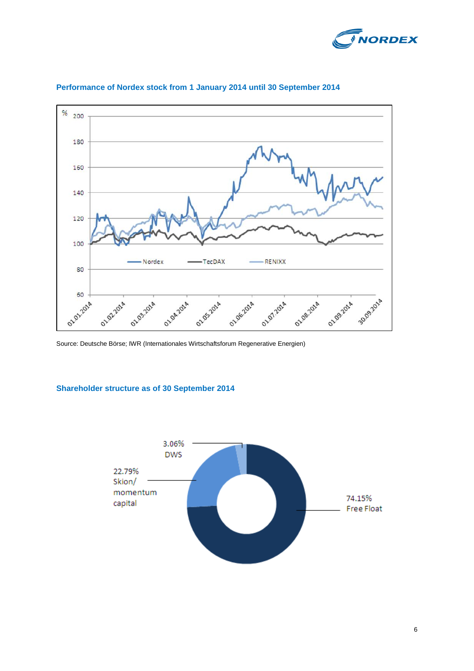



### **Performance of Nordex stock from 1 January 2014 until 30 September 2014**

Source: Deutsche Börse; IWR (Internationales Wirtschaftsforum Regenerative Energien)

### **Shareholder structure as of 30 September 2014**

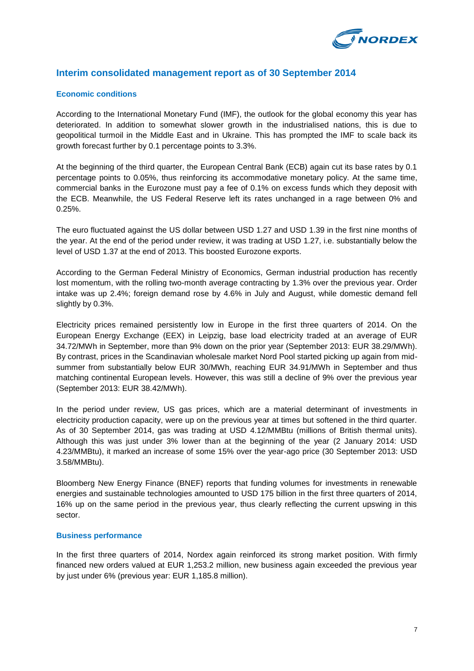

# **Interim consolidated management report as of 30 September 2014**

### **Economic conditions**

According to the International Monetary Fund (IMF), the outlook for the global economy this year has deteriorated. In addition to somewhat slower growth in the industrialised nations, this is due to geopolitical turmoil in the Middle East and in Ukraine. This has prompted the IMF to scale back its growth forecast further by 0.1 percentage points to 3.3%.

At the beginning of the third quarter, the European Central Bank (ECB) again cut its base rates by 0.1 percentage points to 0.05%, thus reinforcing its accommodative monetary policy. At the same time, commercial banks in the Eurozone must pay a fee of 0.1% on excess funds which they deposit with the ECB. Meanwhile, the US Federal Reserve left its rates unchanged in a rage between 0% and 0.25%.

The euro fluctuated against the US dollar between USD 1.27 and USD 1.39 in the first nine months of the year. At the end of the period under review, it was trading at USD 1.27, i.e. substantially below the level of USD 1.37 at the end of 2013. This boosted Eurozone exports.

According to the German Federal Ministry of Economics, German industrial production has recently lost momentum, with the rolling two-month average contracting by 1.3% over the previous year. Order intake was up 2.4%; foreign demand rose by 4.6% in July and August, while domestic demand fell slightly by 0.3%.

Electricity prices remained persistently low in Europe in the first three quarters of 2014. On the European Energy Exchange (EEX) in Leipzig, base load electricity traded at an average of EUR 34.72/MWh in September, more than 9% down on the prior year (September 2013: EUR 38.29/MWh). By contrast, prices in the Scandinavian wholesale market Nord Pool started picking up again from midsummer from substantially below EUR 30/MWh, reaching EUR 34.91/MWh in September and thus matching continental European levels. However, this was still a decline of 9% over the previous year (September 2013: EUR 38.42/MWh).

In the period under review, US gas prices, which are a material determinant of investments in electricity production capacity, were up on the previous year at times but softened in the third quarter. As of 30 September 2014, gas was trading at USD 4.12/MMBtu (millions of British thermal units). Although this was just under 3% lower than at the beginning of the year (2 January 2014: USD 4.23/MMBtu), it marked an increase of some 15% over the year-ago price (30 September 2013: USD 3.58/MMBtu).

Bloomberg New Energy Finance (BNEF) reports that funding volumes for investments in renewable energies and sustainable technologies amounted to USD 175 billion in the first three quarters of 2014, 16% up on the same period in the previous year, thus clearly reflecting the current upswing in this sector.

### **Business performance**

In the first three quarters of 2014, Nordex again reinforced its strong market position. With firmly financed new orders valued at EUR 1,253.2 million, new business again exceeded the previous year by just under 6% (previous year: EUR 1,185.8 million).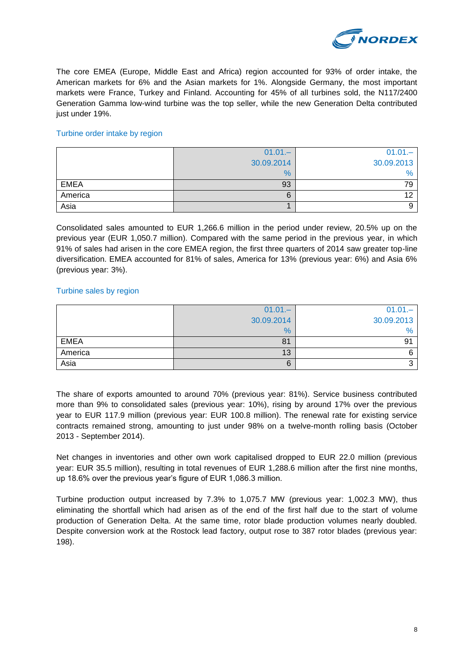

The core EMEA (Europe, Middle East and Africa) region accounted for 93% of order intake, the American markets for 6% and the Asian markets for 1%. Alongside Germany, the most important markets were France, Turkey and Finland. Accounting for 45% of all turbines sold, the N117/2400 Generation Gamma low-wind turbine was the top seller, while the new Generation Delta contributed just under 19%.

### Turbine order intake by region

|             | $01.01 -$  | $01.01 -$  |
|-------------|------------|------------|
|             | 30.09.2014 | 30.09.2013 |
|             | $\%$       | $\%$       |
| <b>EMEA</b> | 93         | 79         |
| America     | 6          | 10         |
| Asia        |            |            |

Consolidated sales amounted to EUR 1,266.6 million in the period under review, 20.5% up on the previous year (EUR 1,050.7 million). Compared with the same period in the previous year, in which 91% of sales had arisen in the core EMEA region, the first three quarters of 2014 saw greater top-line diversification. EMEA accounted for 81% of sales, America for 13% (previous year: 6%) and Asia 6% (previous year: 3%).

### Turbine sales by region

|             | $01.01 -$  | $01.01 -$  |
|-------------|------------|------------|
|             | 30.09.2014 | 30.09.2013 |
|             | $\%$       | $\%$       |
| <b>EMEA</b> | 81         | 91         |
| America     | 13         |            |
| Asia        | 6          |            |

The share of exports amounted to around 70% (previous year: 81%). Service business contributed more than 9% to consolidated sales (previous year: 10%), rising by around 17% over the previous year to EUR 117.9 million (previous year: EUR 100.8 million). The renewal rate for existing service contracts remained strong, amounting to just under 98% on a twelve-month rolling basis (October 2013 - September 2014).

Net changes in inventories and other own work capitalised dropped to EUR 22.0 million (previous year: EUR 35.5 million), resulting in total revenues of EUR 1,288.6 million after the first nine months, up 18.6% over the previous year's figure of EUR 1,086.3 million.

Turbine production output increased by 7.3% to 1,075.7 MW (previous year: 1,002.3 MW), thus eliminating the shortfall which had arisen as of the end of the first half due to the start of volume production of Generation Delta. At the same time, rotor blade production volumes nearly doubled. Despite conversion work at the Rostock lead factory, output rose to 387 rotor blades (previous year: 198).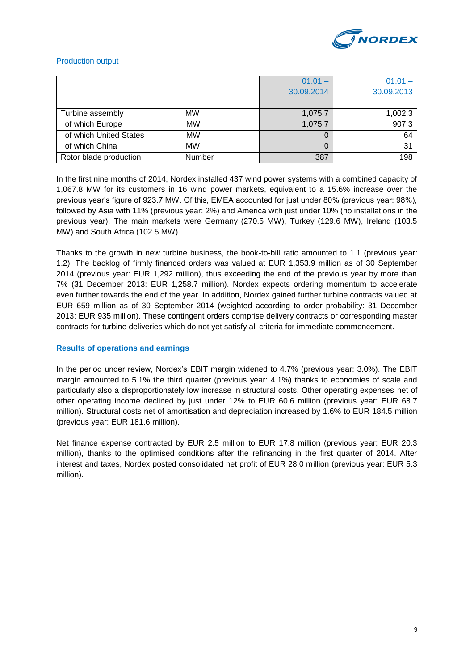

### Production output

|                        |           | $01.01 -$<br>30.09.2014 | $01.01 -$<br>30.09.2013 |
|------------------------|-----------|-------------------------|-------------------------|
| Turbine assembly       | <b>MW</b> | 1,075.7                 | 1,002.3                 |
| of which Europe        | <b>MW</b> | 1,075,7                 | 907.3                   |
| of which United States | <b>MW</b> | 0                       | 64                      |
| of which China         | <b>MW</b> | O                       | 31                      |
| Rotor blade production | Number    | 387                     | 198                     |

In the first nine months of 2014, Nordex installed 437 wind power systems with a combined capacity of 1,067.8 MW for its customers in 16 wind power markets, equivalent to a 15.6% increase over the previous year's figure of 923.7 MW. Of this, EMEA accounted for just under 80% (previous year: 98%), followed by Asia with 11% (previous year: 2%) and America with just under 10% (no installations in the previous year). The main markets were Germany (270.5 MW), Turkey (129.6 MW), Ireland (103.5 MW) and South Africa (102.5 MW).

Thanks to the growth in new turbine business, the book-to-bill ratio amounted to 1.1 (previous year: 1.2). The backlog of firmly financed orders was valued at EUR 1,353.9 million as of 30 September 2014 (previous year: EUR 1,292 million), thus exceeding the end of the previous year by more than 7% (31 December 2013: EUR 1,258.7 million). Nordex expects ordering momentum to accelerate even further towards the end of the year. In addition, Nordex gained further turbine contracts valued at EUR 659 million as of 30 September 2014 (weighted according to order probability: 31 December 2013: EUR 935 million). These contingent orders comprise delivery contracts or corresponding master contracts for turbine deliveries which do not yet satisfy all criteria for immediate commencement.

### **Results of operations and earnings**

In the period under review, Nordex's EBIT margin widened to 4.7% (previous year: 3.0%). The EBIT margin amounted to 5.1% the third quarter (previous year: 4.1%) thanks to economies of scale and particularly also a disproportionately low increase in structural costs. Other operating expenses net of other operating income declined by just under 12% to EUR 60.6 million (previous year: EUR 68.7 million). Structural costs net of amortisation and depreciation increased by 1.6% to EUR 184.5 million (previous year: EUR 181.6 million).

Net finance expense contracted by EUR 2.5 million to EUR 17.8 million (previous year: EUR 20.3 million), thanks to the optimised conditions after the refinancing in the first quarter of 2014. After interest and taxes, Nordex posted consolidated net profit of EUR 28.0 million (previous year: EUR 5.3 million).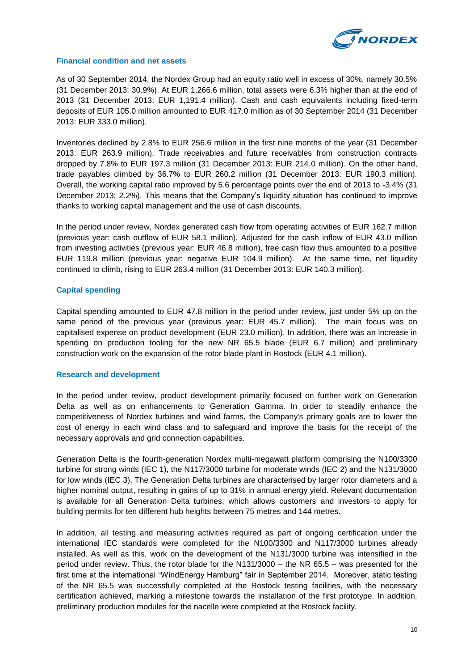

### **Financial condition and net assets**

As of 30 September 2014, the Nordex Group had an equity ratio well in excess of 30%, namely 30.5% (31 December 2013: 30.9%). At EUR 1,266.6 million, total assets were 6.3% higher than at the end of 2013 (31 December 2013: EUR 1,191.4 million). Cash and cash equivalents including fixed-term deposits of EUR 105.0 million amounted to EUR 417.0 million as of 30 September 2014 (31 December 2013: EUR 333.0 million).

Inventories declined by 2.8% to EUR 256.6 million in the first nine months of the year (31 December 2013: EUR 263.9 million). Trade receivables and future receivables from construction contracts dropped by 7.8% to EUR 197.3 million (31 December 2013: EUR 214.0 million). On the other hand, trade payables climbed by 36.7% to EUR 260.2 million (31 December 2013: EUR 190.3 million). Overall, the working capital ratio improved by 5.6 percentage points over the end of 2013 to -3.4% (31 December 2013: 2.2%). This means that the Company's liquidity situation has continued to improve thanks to working capital management and the use of cash discounts.

In the period under review, Nordex generated cash flow from operating activities of EUR 162.7 million (previous year: cash outflow of EUR 58.1 million). Adjusted for the cash inflow of EUR 43.0 million from investing activities (previous year: EUR 46.8 million), free cash flow thus amounted to a positive EUR 119.8 million (previous year: negative EUR 104.9 million). At the same time, net liquidity continued to climb, rising to EUR 263.4 million (31 December 2013: EUR 140.3 million).

### **Capital spending**

Capital spending amounted to EUR 47.8 million in the period under review, just under 5% up on the same period of the previous year (previous year: EUR 45.7 million). The main focus was on capitalised expense on product development (EUR 23.0 million). In addition, there was an increase in spending on production tooling for the new NR 65.5 blade (EUR 6.7 million) and preliminary construction work on the expansion of the rotor blade plant in Rostock (EUR 4.1 million).

#### **Research and development**

In the period under review, product development primarily focused on further work on Generation Delta as well as on enhancements to Generation Gamma. In order to steadily enhance the competitiveness of Nordex turbines and wind farms, the Company's primary goals are to lower the cost of energy in each wind class and to safeguard and improve the basis for the receipt of the necessary approvals and grid connection capabilities.

Generation Delta is the fourth-generation Nordex multi-megawatt platform comprising the N100/3300 turbine for strong winds (IEC 1), the N117/3000 turbine for moderate winds (IEC 2) and the N131/3000 for low winds (IEC 3). The Generation Delta turbines are characterised by larger rotor diameters and a higher nominal output, resulting in gains of up to 31% in annual energy yield. Relevant documentation is available for all Generation Delta turbines, which allows customers and investors to apply for building permits for ten different hub heights between 75 metres and 144 metres.

In addition, all testing and measuring activities required as part of ongoing certification under the international IEC standards were completed for the N100/3300 and N117/3000 turbines already installed. As well as this, work on the development of the N131/3000 turbine was intensified in the period under review. Thus, the rotor blade for the N131/3000 – the NR 65.5 – was presented for the first time at the international "WindEnergy Hamburg" fair in September 2014. Moreover, static testing of the NR 65.5 was successfully completed at the Rostock testing facilities, with the necessary certification achieved, marking a milestone towards the installation of the first prototype. In addition, preliminary production modules for the nacelle were completed at the Rostock facility.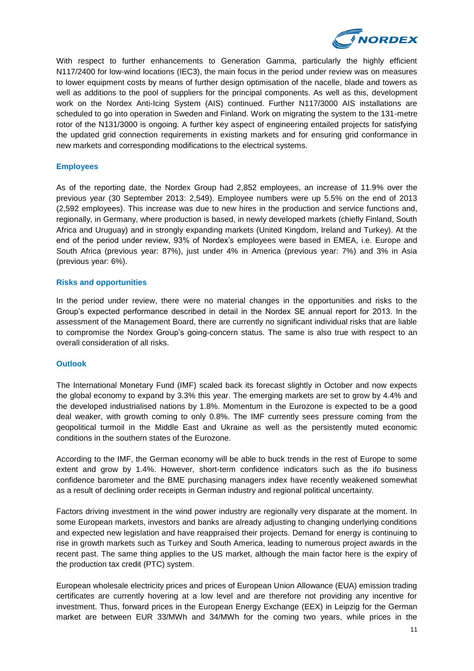

With respect to further enhancements to Generation Gamma, particularly the highly efficient N117/2400 for low-wind locations (IEC3), the main focus in the period under review was on measures to lower equipment costs by means of further design optimisation of the nacelle, blade and towers as well as additions to the pool of suppliers for the principal components. As well as this, development work on the Nordex Anti-Icing System (AIS) continued. Further N117/3000 AIS installations are scheduled to go into operation in Sweden and Finland. Work on migrating the system to the 131-metre rotor of the N131/3000 is ongoing. A further key aspect of engineering entailed projects for satisfying the updated grid connection requirements in existing markets and for ensuring grid conformance in new markets and corresponding modifications to the electrical systems.

### **Employees**

As of the reporting date, the Nordex Group had 2,852 employees, an increase of 11.9% over the previous year (30 September 2013: 2,549). Employee numbers were up 5.5% on the end of 2013 (2,592 employees). This increase was due to new hires in the production and service functions and, regionally, in Germany, where production is based, in newly developed markets (chiefly Finland, South Africa and Uruguay) and in strongly expanding markets (United Kingdom, Ireland and Turkey). At the end of the period under review, 93% of Nordex's employees were based in EMEA, i.e. Europe and South Africa (previous year: 87%), just under 4% in America (previous year: 7%) and 3% in Asia (previous year: 6%).

### **Risks and opportunities**

In the period under review, there were no material changes in the opportunities and risks to the Group's expected performance described in detail in the Nordex SE annual report for 2013. In the assessment of the Management Board, there are currently no significant individual risks that are liable to compromise the Nordex Group's going-concern status. The same is also true with respect to an overall consideration of all risks.

### **Outlook**

The International Monetary Fund (IMF) scaled back its forecast slightly in October and now expects the global economy to expand by 3.3% this year. The emerging markets are set to grow by 4.4% and the developed industrialised nations by 1.8%. Momentum in the Eurozone is expected to be a good deal weaker, with growth coming to only 0.8%. The IMF currently sees pressure coming from the geopolitical turmoil in the Middle East and Ukraine as well as the persistently muted economic conditions in the southern states of the Eurozone.

According to the IMF, the German economy will be able to buck trends in the rest of Europe to some extent and grow by 1.4%. However, short-term confidence indicators such as the ifo business confidence barometer and the BME purchasing managers index have recently weakened somewhat as a result of declining order receipts in German industry and regional political uncertainty.

Factors driving investment in the wind power industry are regionally very disparate at the moment. In some European markets, investors and banks are already adjusting to changing underlying conditions and expected new legislation and have reappraised their projects. Demand for energy is continuing to rise in growth markets such as Turkey and South America, leading to numerous project awards in the recent past. The same thing applies to the US market, although the main factor here is the expiry of the production tax credit (PTC) system.

European wholesale electricity prices and prices of European Union Allowance (EUA) emission trading certificates are currently hovering at a low level and are therefore not providing any incentive for investment. Thus, forward prices in the European Energy Exchange (EEX) in Leipzig for the German market are between EUR 33/MWh and 34/MWh for the coming two years, while prices in the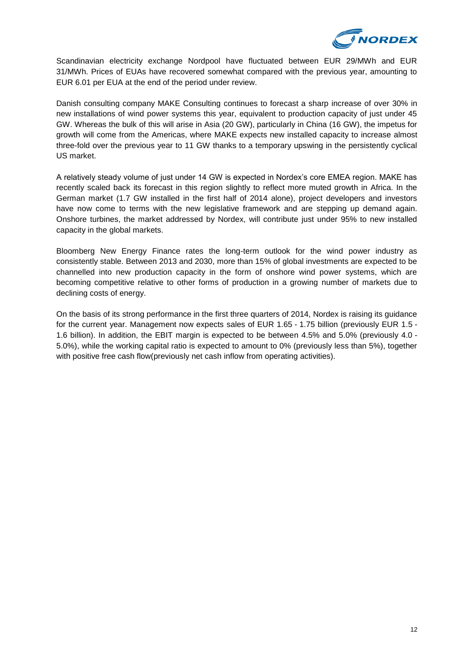

Scandinavian electricity exchange Nordpool have fluctuated between EUR 29/MWh and EUR 31/MWh. Prices of EUAs have recovered somewhat compared with the previous year, amounting to EUR 6.01 per EUA at the end of the period under review.

Danish consulting company MAKE Consulting continues to forecast a sharp increase of over 30% in new installations of wind power systems this year, equivalent to production capacity of just under 45 GW. Whereas the bulk of this will arise in Asia (20 GW), particularly in China (16 GW), the impetus for growth will come from the Americas, where MAKE expects new installed capacity to increase almost three-fold over the previous year to 11 GW thanks to a temporary upswing in the persistently cyclical US market.

A relatively steady volume of just under 14 GW is expected in Nordex's core EMEA region. MAKE has recently scaled back its forecast in this region slightly to reflect more muted growth in Africa. In the German market (1.7 GW installed in the first half of 2014 alone), project developers and investors have now come to terms with the new legislative framework and are stepping up demand again. Onshore turbines, the market addressed by Nordex, will contribute just under 95% to new installed capacity in the global markets.

Bloomberg New Energy Finance rates the long-term outlook for the wind power industry as consistently stable. Between 2013 and 2030, more than 15% of global investments are expected to be channelled into new production capacity in the form of onshore wind power systems, which are becoming competitive relative to other forms of production in a growing number of markets due to declining costs of energy.

On the basis of its strong performance in the first three quarters of 2014, Nordex is raising its guidance for the current year. Management now expects sales of EUR 1.65 - 1.75 billion (previously EUR 1.5 - 1.6 billion). In addition, the EBIT margin is expected to be between 4.5% and 5.0% (previously 4.0 - 5.0%), while the working capital ratio is expected to amount to 0% (previously less than 5%), together with positive free cash flow(previously net cash inflow from operating activities).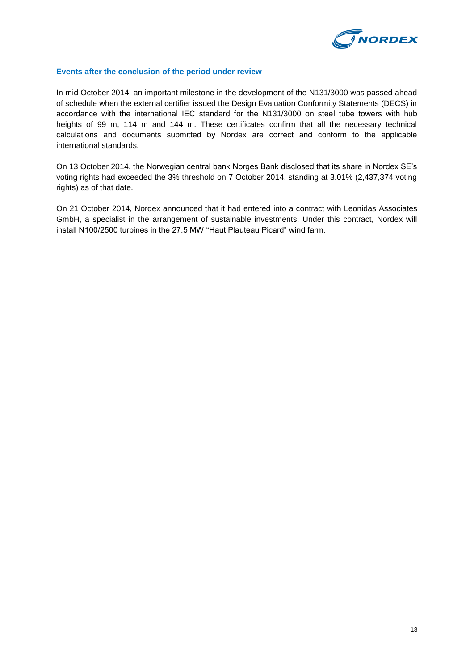

### **Events after the conclusion of the period under review**

In mid October 2014, an important milestone in the development of the N131/3000 was passed ahead of schedule when the external certifier issued the Design Evaluation Conformity Statements (DECS) in accordance with the international IEC standard for the N131/3000 on steel tube towers with hub heights of 99 m, 114 m and 144 m. These certificates confirm that all the necessary technical calculations and documents submitted by Nordex are correct and conform to the applicable international standards.

On 13 October 2014, the Norwegian central bank Norges Bank disclosed that its share in Nordex SE's voting rights had exceeded the 3% threshold on 7 October 2014, standing at 3.01% (2,437,374 voting rights) as of that date.

On 21 October 2014, Nordex announced that it had entered into a contract with Leonidas Associates GmbH, a specialist in the arrangement of sustainable investments. Under this contract, Nordex will install N100/2500 turbines in the 27.5 MW "Haut Plauteau Picard" wind farm.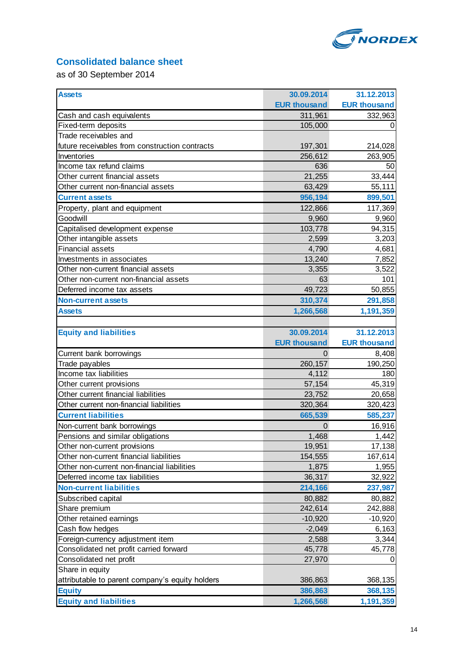

# **Consolidated balance sheet**

as of 30 September 2014

| <b>Assets</b>                                                           | 30.09.2014          | 31.12.2013          |
|-------------------------------------------------------------------------|---------------------|---------------------|
|                                                                         | <b>EUR thousand</b> | <b>EUR thousand</b> |
| Cash and cash equivalents                                               | 311,961             | 332,963             |
| Fixed-term deposits                                                     | 105,000             | 0                   |
| Trade receivables and                                                   |                     |                     |
| future receivables from construction contracts                          | 197,301             | 214,028             |
| Inventories                                                             | 256,612             | 263,905             |
| Income tax refund claims                                                | 636                 | 50                  |
| Other current financial assets                                          | 21,255              | 33,444              |
| Other current non-financial assets                                      | 63,429              | 55,111              |
| <b>Current assets</b>                                                   | 956,194             | 899,501             |
| Property, plant and equipment                                           | 122,866             | 117,369             |
| Goodwill                                                                | 9,960               | 9,960               |
| Capitalised development expense                                         | 103,778             | 94,315              |
| Other intangible assets                                                 | 2,599               | 3,203               |
| <b>Financial assets</b>                                                 | 4,790               | 4,681               |
| Investments in associates                                               | 13,240              | 7,852               |
| Other non-current financial assets                                      | 3,355               | 3,522               |
| Other non-current non-financial assets                                  | 63                  | 101                 |
| Deferred income tax assets                                              | 49,723              | 50,855              |
| <b>Non-current assets</b>                                               | 310,374             | 291,858             |
| <b>Assets</b>                                                           | 1,266,568           | 1,191,359           |
|                                                                         |                     |                     |
| <b>Equity and liabilities</b>                                           | 30.09.2014          | 31.12.2013          |
|                                                                         | <b>EUR thousand</b> | <b>EUR thousand</b> |
|                                                                         |                     |                     |
| Current bank borrowings                                                 | 0                   | 8,408               |
| Trade payables                                                          | 260,157             | 190,250             |
| Income tax liabilities                                                  | 4,112               | 180                 |
| Other current provisions                                                | 57,154              | 45,319              |
| Other current financial liabilities                                     | 23,752              | 20,658              |
| Other current non-financial liabilities                                 | 320,364             | 320,423             |
| <b>Current liabilities</b>                                              | 665,539             | 585,237             |
| Non-current bank borrowings                                             | 0                   | 16,916              |
| Pensions and similar obligations                                        | 1,468               | 1,442               |
|                                                                         | 19,951              | 17,138              |
| Other non-current provisions<br>Other non-current financial liabilities | 154,555             | 167,614             |
| Other non-current non-financial liabilities                             | 1,875               | 1,955               |
| Deferred income tax liabilities                                         | 36,317              | 32,922              |
| <b>Non-current liabilities</b>                                          | 214,166             | 237,987             |
|                                                                         | 80,882              | 80,882              |
| Subscribed capital<br>Share premium                                     | 242,614             | 242,888             |
| Other retained earnings                                                 | $-10,920$           | $-10,920$           |
| Cash flow hedges                                                        | $-2,049$            | 6,163               |
| Foreign-currency adjustment item                                        | 2,588               | 3,344               |
| Consolidated net profit carried forward                                 | 45,778              | 45,778              |
| Consolidated net profit                                                 | 27,970              | $\mathbf 0$         |
| Share in equity                                                         |                     |                     |
| attributable to parent company's equity holders                         | 386,863             | 368,135             |
| <b>Equity</b>                                                           | 386,863             | 368,135             |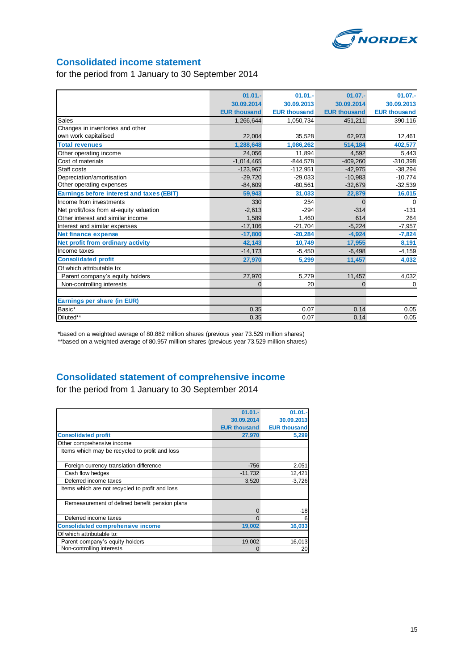

# **Consolidated income statement**

### for the period from 1 January to 30 September 2014

|                                           | $01.01 -$           | $01.01 -$           | $01.07 -$           | $01.07 -$           |
|-------------------------------------------|---------------------|---------------------|---------------------|---------------------|
|                                           | 30.09.2014          | 30.09.2013          | 30.09.2014          | 30.09.2013          |
|                                           | <b>EUR thousand</b> | <b>EUR thousand</b> | <b>EUR thousand</b> | <b>EUR thousand</b> |
| Sales                                     | 1,266,644           | 1,050,734           | 451,211             | 390,116             |
| Changes in inventories and other          |                     |                     |                     |                     |
| own work capitalised                      | 22,004              | 35,528              | 62,973              | 12,461              |
| <b>Total revenues</b>                     | 1,288,648           | 1,086,262           | 514,184             | 402,577             |
| Other operating income                    | 24.056              | 11,894              | 4,592               | 5,443               |
| Cost of materials                         | $-1,014,465$        | $-844.578$          | $-409,260$          | $-310,398$          |
| Staff costs                               | $-123.967$          | $-112,951$          | $-42,975$           | $-38,294$           |
| Depreciation/amortisation                 | $-29.720$           | $-29,033$           | $-10,983$           | $-10,774$           |
| Other operating expenses                  | $-84.609$           | $-80,561$           | $-32,679$           | $-32,539$           |
| Earnings before interest and taxes (EBIT) | 59.943              | 31,033              | 22,879              | 16,015              |
| Income from investments                   | 330                 | 254                 | $\Omega$            | $\Omega$            |
| Net profit/loss from at-equity valuation  | $-2.613$            | $-294$              | $-314$              | $-131$              |
| Other interest and similar income         | 1.589               | 1,460               | 614                 | 264                 |
| Interest and similar expenses             | $-17,106$           | $-21,704$           | $-5,224$            | $-7,957$            |
| <b>Net finance expense</b>                | $-17,800$           | $-20,284$           | $-4,924$            | $-7,824$            |
| Net profit from ordinary activity         | 42.143              | 10,749              | 17,955              | 8,191               |
| Income taxes                              | $-14,173$           | $-5,450$            | $-6,498$            | $-4,159$            |
| <b>Consolidated profit</b>                | 27,970              | 5,299               | 11,457              | 4,032               |
| Of which attributable to:                 |                     |                     |                     |                     |
| Parent company's equity holders           | 27,970              | 5.279               | 11,457              | 4,032               |
| Non-controlling interests                 | $\mathbf{0}$        | 20                  | 0                   | $\Omega$            |
|                                           |                     |                     |                     |                     |
| Earnings per share (in EUR)               |                     |                     |                     |                     |
| Basic*                                    | 0.35                | 0.07                | 0.14                | 0.05                |
| Diluted**                                 | 0.35                | 0.07                | 0.14                | 0.05                |

\*based on a weighted average of 80.882 million shares (previous year 73.529 million shares) \*\*based on a weighted average of 80.957 million shares (previous year 73.529 million shares)

# **Consolidated statement of comprehensive income**

for the period from 1 January to 30 September 2014

|                                                 | $01.01 -$           | $01.01 -$           |
|-------------------------------------------------|---------------------|---------------------|
|                                                 | 30.09.2014          | 30.09.2013          |
|                                                 | <b>EUR thousand</b> | <b>EUR thousand</b> |
| <b>Consolidated profit</b>                      | 27,970              | 5,299               |
| Other comprehensive income                      |                     |                     |
| Items which may be recycled to profit and loss  |                     |                     |
|                                                 |                     |                     |
| Foreign currency translation difference         | $-756$              | 2.051               |
| Cash flow hedges                                | $-11,732$           | 12,421              |
| Deferred income taxes                           | 3,520               | $-3,726$            |
| Items which are not recycled to profit and loss |                     |                     |
| Remeasurement of defined benefit pension plans  |                     |                     |
|                                                 | $\Omega$            | -18                 |
| Deferred income taxes                           | $\Omega$            | 6                   |
| <b>Consolidated comprehensive income</b>        | 19,002              | 16,033              |
| Of which attributable to:                       |                     |                     |
| Parent company's equity holders                 | 19,002              | 16,013              |
| Non-controlling interests                       | $\Omega$            | 20                  |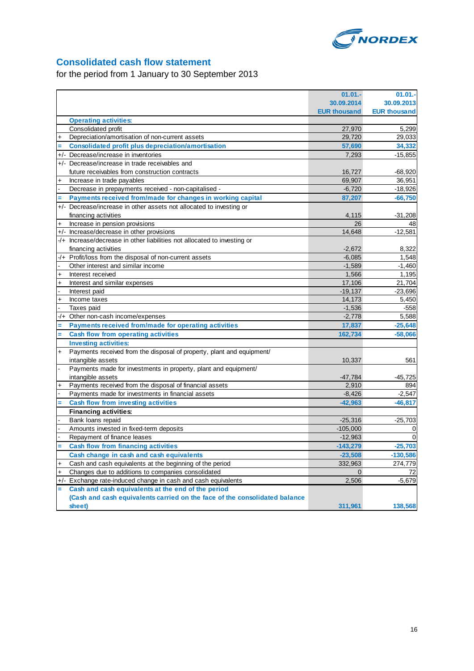

# **Consolidated cash flow statement**

for the period from 1 January to 30 September 2013

|             |                                                                            | $01.01 -$           | $01.01 -$           |
|-------------|----------------------------------------------------------------------------|---------------------|---------------------|
|             |                                                                            | 30.09.2014          | 30.09.2013          |
|             |                                                                            | <b>EUR thousand</b> | <b>EUR thousand</b> |
|             | <b>Operating activities:</b>                                               |                     |                     |
|             | Consolidated profit                                                        | 27,970              | 5,299               |
| $\ddot{}$   | Depreciation/amortisation of non-current assets                            | 29,720              | 29,033              |
|             | <b>Consolidated profit plus depreciation/amortisation</b>                  | 57,690              | 34,332              |
|             | +/- Decrease/increase in inventories                                       | 7,293               | $-15,855$           |
|             | +/- Decrease/increase in trade receivables and                             |                     |                     |
|             | future receivables from construction contracts                             | 16,727              | $-68,920$           |
| $\ddot{}$   | Increase in trade payables                                                 | 69,907              | 36,951              |
|             | Decrease in prepayments received - non-capitalised -                       | $-6,720$            | $-18,926$           |
|             | Payments received from/made for changes in working capital                 | 87,207              | $-66,750$           |
|             | +/- Decrease/increase in other assets not allocated to investing or        |                     |                     |
|             | financing activities                                                       | 4,115               | $-31,208$           |
| $\ddot{}$   | Increase in pension provisions                                             | 26                  | 48                  |
|             | +/- Increase/decrease in other provisions                                  | 14,648              | $-12,581$           |
|             | -/+ Increase/decrease in other liabilities not allocated to investing or   |                     |                     |
|             | financing activities                                                       | $-2,672$            | 8,322               |
|             | -/+ Profit/loss from the disposal of non-current assets                    | $-6,085$            | 1,548               |
|             | Other interest and similar income                                          | $-1.589$            | $-1,460$            |
| $\ddot{}$   | Interest received                                                          | 1,566               | 1,195               |
| $\ddotmark$ | Interest and similar expenses                                              | 17,106              | 21,704              |
|             | Interest paid                                                              | $-19.137$           | $-23,696$           |
| $\ddot{}$   | Income taxes                                                               | 14,173              | 5,450               |
|             | Taxes paid                                                                 | $-1,536$            | $-558$              |
| $-/+$       | Other non-cash income/expenses                                             | $-2,778$            | 5,588               |
|             | Payments received from/made for operating activities                       | 17,837              | $-25,648$           |
| Ξ           | <b>Cash flow from operating activities</b>                                 | 162,734             | $-58,066$           |
|             | <b>Investing activities:</b>                                               |                     |                     |
| $\ddot{}$   | Payments received from the disposal of property, plant and equipment/      |                     |                     |
|             | intangible assets                                                          | 10,337              | 561                 |
|             | Payments made for investments in property, plant and equipment/            |                     |                     |
|             | intangible assets                                                          | -47,784             | $-45,725$           |
|             | Payments received from the disposal of financial assets                    | 2,910               | 894                 |
|             | Payments made for investments in financial assets                          | $-8,426$            | $-2,547$            |
|             | <b>Cash flow from investing activities</b>                                 | $-42,963$           | $-46,817$           |
|             | <b>Financing activities:</b>                                               |                     |                     |
|             | Bank loans repaid                                                          | $-25,316$           | $-25,703$           |
|             | Amounts invested in fixed-term deposits                                    | $-105,000$          | 0                   |
|             | Repayment of finance leases                                                | $-12,963$           | $\mathbf 0$         |
|             | <b>Cash flow from financing activities</b>                                 | $-143,279$          | $-25,703$           |
|             | Cash change in cash and cash equivalents                                   | $-23,508$           | $-130,586$          |
| $\ddot{}$   | Cash and cash equivalents at the beginning of the period                   | 332,963             | 274,779             |
| +           | Changes due to additions to companies consolidated                         | $\overline{0}$      | 72                  |
|             | +/- Exchange rate-induced change in cash and cash equivalents              | 2,506               | $-5,679$            |
| Ξ.          | Cash and cash equivalents at the end of the period                         |                     |                     |
|             | (Cash and cash equivalents carried on the face of the consolidated balance |                     |                     |
|             | sheet)                                                                     | 311,961             | 138,568             |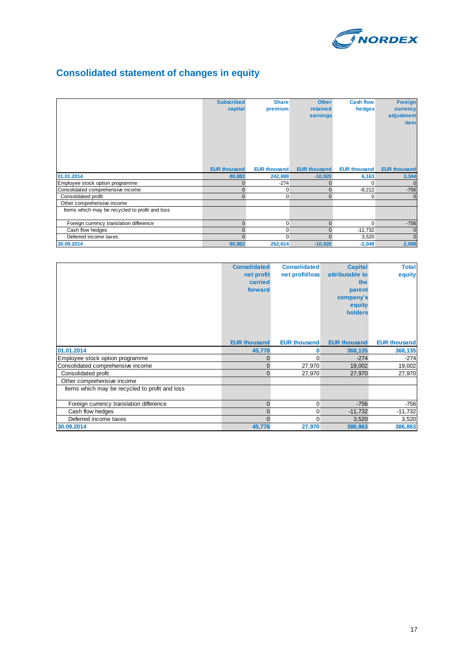

# **Consolidated statement of changes in equity**

|                                                | <b>Subscribed</b><br>capital | <b>Share</b><br>premium | <b>Other</b><br>retained<br>earnings | <b>Cash flow</b><br>hedges | <b>Foreign</b><br>currency<br>adjustment<br>item |
|------------------------------------------------|------------------------------|-------------------------|--------------------------------------|----------------------------|--------------------------------------------------|
|                                                | <b>EUR thousand</b>          | <b>EUR thousand</b>     | <b>EUR thousand</b>                  | <b>EUR thousand</b>        | <b>EUR thousand</b>                              |
| 01.01.2014                                     | 80,882                       | 242,888                 | $-10,920$                            | 6,163                      | 3,344                                            |
| Employee stock option programme                | $\Omega$                     | $-274$                  | $\Omega$                             | $\Omega$                   | $\Omega$                                         |
| Consolidated comprehensive income              | $\Omega$                     | $\overline{0}$          | $\mathbf{0}$                         | $-8,212$                   | $-756$                                           |
| Consolidated profit                            | $\Omega$                     | 0                       | $\Omega$                             | 0                          |                                                  |
| Other comprehensive income                     |                              |                         |                                      |                            |                                                  |
| Items which may be recycled to profit and loss |                              |                         |                                      |                            |                                                  |
| Foreign currency translation difference        | $\Omega$                     | $\overline{0}$          | $\Omega$                             | $\Omega$                   | $-756$                                           |
| Cash flow hedges                               | $\Omega$                     | 0                       | $\Omega$                             | $-11,732$                  | $\mathbf 0$                                      |
| Deferred income taxes                          | $\Omega$                     | $\Omega$                | $\Omega$                             | 3,520                      | $\Omega$                                         |
| 30.09.2014                                     | 80,882                       | 262,614                 | $-10,920$                            | $-2,049$                   | 2,588                                            |

|                                                | <b>Consolidated</b> | <b>Consolidated</b> | <b>Capital</b>      | <b>Total</b>        |
|------------------------------------------------|---------------------|---------------------|---------------------|---------------------|
|                                                | net profit          | net profit/loss     | attributable to     | equity              |
|                                                | carried             |                     | the                 |                     |
|                                                | forward             |                     | parent              |                     |
|                                                |                     |                     | company's           |                     |
|                                                |                     |                     | equity              |                     |
|                                                |                     |                     | holders             |                     |
|                                                |                     |                     |                     |                     |
|                                                |                     |                     |                     |                     |
|                                                |                     |                     |                     |                     |
|                                                | <b>EUR thousand</b> | <b>EUR thousand</b> | <b>EUR thousand</b> | <b>EUR thousand</b> |
| 01.01.2014                                     | 45,778              | 0                   | 368,135             | 368,135             |
| Employee stock option programme                | $\Omega$            | 0                   | $-274$              | $-274$              |
| Consolidated comprehensive income              | $\Omega$            | 27,970              | 19,002              | 19,002              |
| Consolidated profit                            | $\Omega$            | 27,970              | 27,970              | 27,970              |
| Other comprehensive income                     |                     |                     |                     |                     |
| Items which may be recycled to profit and loss |                     |                     |                     |                     |
|                                                |                     |                     |                     |                     |
| Foreign currency translation difference        | $\mathbf{0}$        | 0                   | $-756$              | $-756$              |
| Cash flow hedges                               | $\Omega$            | 0                   | $-11,732$           | $-11,732$           |
| Deferred income taxes                          | $\Omega$            | $\Omega$            | 3,520               | 3,520               |
| 30.09.2014                                     | 45,778              | 27,970              | 386,863             | 386,863             |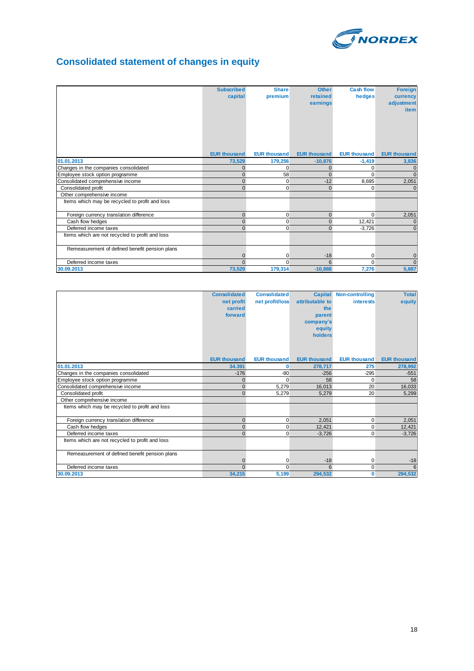

# **Consolidated statement of changes in equity**

|                                                 | <b>Subscribed</b><br>capital | <b>Share</b><br>premium | <b>Other</b><br>retained<br>earnings | <b>Cash flow</b><br>hedges | <b>Foreign</b><br>currency<br>adjustment<br>item |
|-------------------------------------------------|------------------------------|-------------------------|--------------------------------------|----------------------------|--------------------------------------------------|
|                                                 | <b>EUR thousand</b>          | <b>EUR thousand</b>     | <b>EUR thousand</b>                  | <b>EUR thousand</b>        | <b>EUR thousand</b>                              |
| 01.01.2013                                      | 73,529                       | 179,256                 | $-10,876$                            | $-1,419$                   | 3,836                                            |
| Changes in the companies consolidated           | $\Omega$                     | $\Omega$                | $\mathbf{0}$                         | $\Omega$                   |                                                  |
| Employee stock option programme                 | $\Omega$                     | 58                      | $\Omega$                             | $\Omega$                   | $\Omega$                                         |
| Consolidated comprehensive income               | $\Omega$                     | 0                       | $-12$                                | 8,695                      | 2,051                                            |
| Consolidated profit                             | $\Omega$                     | 0                       | $\Omega$                             | $\Omega$                   |                                                  |
| Other comprehensive income                      |                              |                         |                                      |                            |                                                  |
| Items which may be recycled to profit and loss  |                              |                         |                                      |                            |                                                  |
| Foreign currency translation difference         | $\mathbf{0}$                 | $\mathbf 0$             | $\overline{0}$                       | $\Omega$                   | 2,051                                            |
| Cash flow hedges                                | $\Omega$                     | 0                       | $\overline{0}$                       | 12,421                     | $\mathbf 0$                                      |
| Deferred income taxes                           | $\Omega$                     | $\overline{0}$          | $\Omega$                             | $-3.726$                   | $\overline{0}$                                   |
| Items which are not recycled to profit and loss |                              |                         |                                      |                            |                                                  |
| Remeasurement of defined benefit pension plans  |                              |                         |                                      |                            |                                                  |
|                                                 | $\Omega$                     | 0                       | $-18$                                | 0                          | $\overline{0}$                                   |
| Deferred income taxes                           | $\Omega$                     | $\Omega$                | 6                                    | $\Omega$                   | $\Omega$                                         |
| 30.09.2013                                      | 73,529                       | 179,314                 | $-10,888$                            | 7,276                      | 5,887                                            |

|                                                 | <b>Consolidated</b><br>net profit<br>carried<br>forward | <b>Consolidated</b><br>net profit/loss | attributable to<br>the<br>parent<br>company's<br>equity<br>holders | <b>Capital Non-controlling</b><br><b>interests</b> | <b>Total</b><br>equity |
|-------------------------------------------------|---------------------------------------------------------|----------------------------------------|--------------------------------------------------------------------|----------------------------------------------------|------------------------|
|                                                 | <b>EUR thousand</b>                                     | <b>EUR thousand</b>                    | <b>EUR thousand</b>                                                | <b>EUR thousand</b>                                | <b>EUR thousand</b>    |
| 01.01.2013                                      | 34.391                                                  | 0                                      | 278,717                                                            | 275                                                | 278,992                |
| Changes in the companies consolidated           | $-176$                                                  | $-80$                                  | $-256$                                                             | $-295$                                             | $-551$                 |
| Employee stock option programme                 | $\Omega$                                                | $\Omega$                               | 58                                                                 | $\Omega$                                           | 58                     |
| Consolidated comprehensive income               | $\overline{0}$                                          | 5.279                                  | 16.013                                                             | 20                                                 | 16,033                 |
| Consolidated profit                             | $\Omega$                                                | 5,279                                  | 5,279                                                              | 20                                                 | 5,299                  |
| Other comprehensive income                      |                                                         |                                        |                                                                    |                                                    |                        |
| Items which may be recycled to profit and loss  |                                                         |                                        |                                                                    |                                                    |                        |
| Foreign currency translation difference         | $\overline{0}$                                          | 0                                      | 2,051                                                              | 0                                                  | 2,051                  |
| Cash flow hedges                                | $\Omega$                                                | 0                                      | 12.421                                                             | 0                                                  | 12,421                 |
| Deferred income taxes                           | $\Omega$                                                | $\Omega$                               | $-3.726$                                                           | $\Omega$                                           | $-3,726$               |
| Items which are not recycled to profit and loss |                                                         |                                        |                                                                    |                                                    |                        |
| Remeasurement of defined benefit pension plans  |                                                         |                                        |                                                                    |                                                    |                        |
|                                                 | $\Omega$                                                | 0                                      | $-18$                                                              | 0                                                  | $-18$                  |
| Deferred income taxes                           | $\Omega$                                                | $\Omega$                               | 6                                                                  | $\mathbf 0$                                        | 6                      |
| 30.09.2013                                      | 34,215                                                  | 5,199                                  | 294,532                                                            | $\bf{0}$                                           | 294,532                |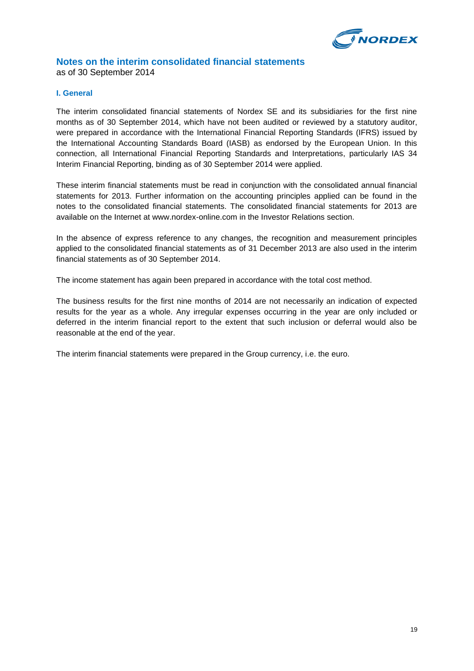

### **Notes on the interim consolidated financial statements**

as of 30 September 2014

### **I. General**

The interim consolidated financial statements of Nordex SE and its subsidiaries for the first nine months as of 30 September 2014, which have not been audited or reviewed by a statutory auditor, were prepared in accordance with the International Financial Reporting Standards (IFRS) issued by the International Accounting Standards Board (IASB) as endorsed by the European Union. In this connection, all International Financial Reporting Standards and Interpretations, particularly IAS 34 Interim Financial Reporting, binding as of 30 September 2014 were applied.

These interim financial statements must be read in conjunction with the consolidated annual financial statements for 2013. Further information on the accounting principles applied can be found in the notes to the consolidated financial statements. The consolidated financial statements for 2013 are available on the Internet at www.nordex-online.com in the Investor Relations section.

In the absence of express reference to any changes, the recognition and measurement principles applied to the consolidated financial statements as of 31 December 2013 are also used in the interim financial statements as of 30 September 2014.

The income statement has again been prepared in accordance with the total cost method.

The business results for the first nine months of 2014 are not necessarily an indication of expected results for the year as a whole. Any irregular expenses occurring in the year are only included or deferred in the interim financial report to the extent that such inclusion or deferral would also be reasonable at the end of the year.

The interim financial statements were prepared in the Group currency, i.e. the euro.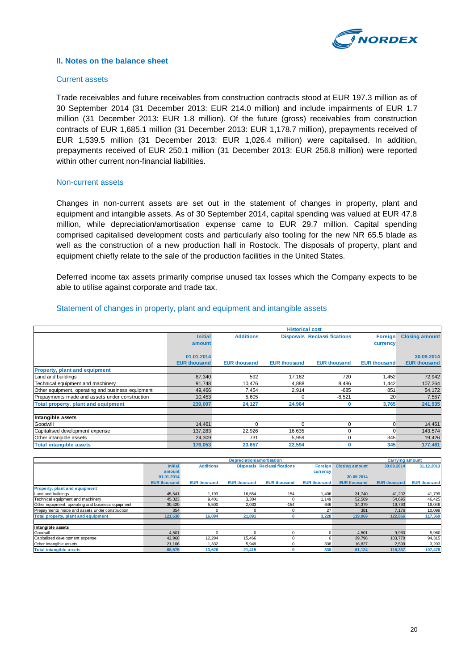

### **II. Notes on the balance sheet**

### Current assets

Trade receivables and future receivables from construction contracts stood at EUR 197.3 million as of 30 September 2014 (31 December 2013: EUR 214.0 million) and include impairments of EUR 1.7 million (31 December 2013: EUR 1.8 million). Of the future (gross) receivables from construction contracts of EUR 1,685.1 million (31 December 2013: EUR 1,178.7 million), prepayments received of EUR 1,539.5 million (31 December 2013: EUR 1,026.4 million) were capitalised. In addition, prepayments received of EUR 250.1 million (31 December 2013: EUR 256.8 million) were reported within other current non-financial liabilities.

#### Non-current assets

Changes in non-current assets are set out in the statement of changes in property, plant and equipment and intangible assets. As of 30 September 2014, capital spending was valued at EUR 47.8 million, while depreciation/amortisation expense came to EUR 29.7 million. Capital spending comprised capitalised development costs and particularly also tooling for the new NR 65.5 blade as well as the construction of a new production hall in Rostock. The disposals of property, plant and equipment chiefly relate to the sale of the production facilities in the United States.

Deferred income tax assets primarily comprise unused tax losses which the Company expects to be able to utilise against corporate and trade tax.

### Statement of changes in property, plant and equipment and intangible assets

|                                                   | <b>Historical cost</b> |                     |                     |                                     |                     |                       |  |
|---------------------------------------------------|------------------------|---------------------|---------------------|-------------------------------------|---------------------|-----------------------|--|
|                                                   | <b>Initial</b>         | <b>Additions</b>    |                     | <b>Disposals Reclassi fications</b> | Foreign             | <b>Closing amount</b> |  |
|                                                   | amount                 |                     |                     |                                     | currency            |                       |  |
|                                                   |                        |                     |                     |                                     |                     |                       |  |
|                                                   | 01.01.2014             |                     |                     |                                     |                     | 30.09.2014            |  |
|                                                   | <b>EUR thousand</b>    | <b>EUR thousand</b> | <b>EUR thousand</b> | <b>EUR thousand</b>                 | <b>EUR thousand</b> | <b>EUR thousand</b>   |  |
| <b>Property, plant and equipment</b>              |                        |                     |                     |                                     |                     |                       |  |
| Land and buildings                                | 87,340                 | 592                 | 17,162              | 720                                 | 1,452               | 72,942                |  |
| Technical equipment and machinery                 | 91,748                 | 10,476              | 4,888               | 8,486                               | 1,442               | 107,264               |  |
| Other equipment, operating and business equipment | 49,466                 | 7,454               | 2,914               | $-685$                              | 851                 | 54,172                |  |
| Prepayments made and assets under construction    | 10,453                 | 5,605               |                     | $-8,521$                            | 20                  | 7,557                 |  |
| Total property, plant and equipment               | 239,007                | 24,127              | 24,964              | 0                                   | 3,765               | 241,935               |  |
| Intangible assets                                 |                        |                     |                     |                                     |                     |                       |  |
| Goodwill                                          | 14,461                 |                     |                     | 0                                   | 0                   | 14,461                |  |
| Capitalised development expense                   | 137,283                | 22,926              | 16.635              | 0                                   | $\mathbf{0}$        | 143,574               |  |
| Other intangible assets                           | 24,309                 | 731                 | 5,959               | 0                                   | 345                 | 19,426                |  |
| <b>Total intangible assets</b>                    | 176,053                | 23,657              | 22,594              | 0                                   | 345                 | 177,461               |  |

|                                                   | <b>Depreciation/amortisation</b> |                     |                     |                                     |                     |                       |                     | <b>Carrying amount</b> |
|---------------------------------------------------|----------------------------------|---------------------|---------------------|-------------------------------------|---------------------|-----------------------|---------------------|------------------------|
|                                                   | <b>Initial</b>                   | <b>Additions</b>    |                     | <b>Disposals</b> Reclassi fications | <b>Foreign</b>      | <b>Closing amount</b> | 30.09.2014          | 31.12.2013             |
|                                                   | amount                           |                     |                     |                                     | currency            |                       |                     |                        |
|                                                   | 01.01.2014                       |                     |                     |                                     |                     | 30.09.2014            |                     |                        |
|                                                   | <b>EUR thousand</b>              | <b>EUR thousand</b> | <b>EUR thousand</b> | <b>EUR thousand</b>                 | <b>EUR thousand</b> | <b>EUR thousand</b>   | <b>EUR thousand</b> | <b>EUR thousand</b>    |
| <b>Property, plant and equipment</b>              |                                  |                     |                     |                                     |                     |                       |                     |                        |
| Land and buildings                                | 45,541                           | 1,193               | 16,554              | 154                                 | 1,406               | 31,740                | 41,202              | 41,799                 |
| Technical equipment and machinery                 | 45.323                           | 9,401               | 3.304               |                                     | 1.149               | 52.569                | 54,695              | 46,425                 |
| Other equipment, operating and business equipment | 30,420                           | 5,500               | 2.033               | $-154$                              | 646                 | 34.379                | 19.793              | 19,046                 |
| Prepayments made and assets under construction    | 354                              |                     | $\Omega$            |                                     | 27                  | 381                   | 7,176               | 10,099                 |
| <b>Total property, plant and equipment</b>        | 121,638                          | 16,094              | 21.891              |                                     | 3.228               | 119,069               | 122,866             | 117,369                |
| Intangible assets                                 |                                  |                     |                     |                                     |                     |                       |                     |                        |
| Goodwill                                          | 4.501                            |                     | $\Omega$            |                                     | $\Omega$            | 4.501                 | 9.960               | 9,960                  |
| Capitalised development expense                   | 42,968                           | 12,294              | 15,466              |                                     | $\Omega$            | 39,796                | 103,778             | 94,315                 |
| Other intangible assets                           | 21,106                           | 1,332               | 5,949               |                                     | 338                 | 16,827                | 2,599               | 3,203                  |
| <b>Total intangible assets</b>                    | 68.575                           | 13.626              | 21.415              |                                     | 338                 | 61.124                | 116.337             | 107,478                |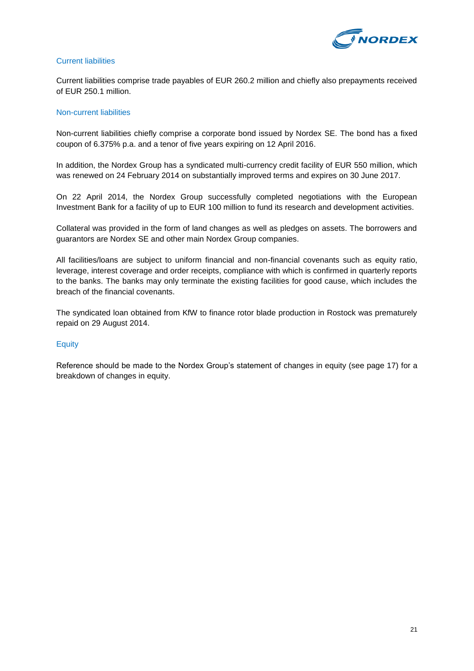

### Current liabilities

Current liabilities comprise trade payables of EUR 260.2 million and chiefly also prepayments received of EUR 250.1 million.

### Non-current liabilities

Non-current liabilities chiefly comprise a corporate bond issued by Nordex SE. The bond has a fixed coupon of 6.375% p.a. and a tenor of five years expiring on 12 April 2016.

In addition, the Nordex Group has a syndicated multi-currency credit facility of EUR 550 million, which was renewed on 24 February 2014 on substantially improved terms and expires on 30 June 2017.

On 22 April 2014, the Nordex Group successfully completed negotiations with the European Investment Bank for a facility of up to EUR 100 million to fund its research and development activities.

Collateral was provided in the form of land changes as well as pledges on assets. The borrowers and guarantors are Nordex SE and other main Nordex Group companies.

All facilities/loans are subject to uniform financial and non-financial covenants such as equity ratio, leverage, interest coverage and order receipts, compliance with which is confirmed in quarterly reports to the banks. The banks may only terminate the existing facilities for good cause, which includes the breach of the financial covenants.

The syndicated loan obtained from KfW to finance rotor blade production in Rostock was prematurely repaid on 29 August 2014.

### **Equity**

Reference should be made to the Nordex Group's statement of changes in equity (see page 17) for a breakdown of changes in equity.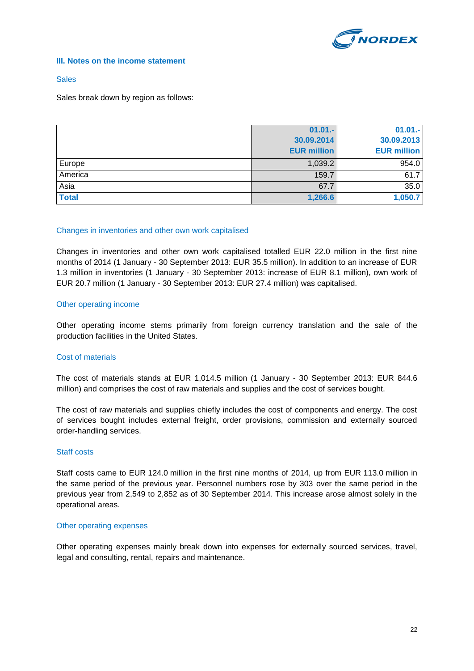

### **III. Notes on the income statement**

### **Sales**

Sales break down by region as follows:

|              | $01.01 -$          | $01.01 -$          |
|--------------|--------------------|--------------------|
|              | 30.09.2014         | 30.09.2013         |
|              | <b>EUR million</b> | <b>EUR million</b> |
| Europe       | 1,039.2            | 954.0              |
| America      | 159.7              | 61.7               |
| Asia         | 67.7               | 35.0               |
| <b>Total</b> | 1,266.6            | 1,050.7            |

### Changes in inventories and other own work capitalised

Changes in inventories and other own work capitalised totalled EUR 22.0 million in the first nine months of 2014 (1 January - 30 September 2013: EUR 35.5 million). In addition to an increase of EUR 1.3 million in inventories (1 January - 30 September 2013: increase of EUR 8.1 million), own work of EUR 20.7 million (1 January - 30 September 2013: EUR 27.4 million) was capitalised.

### Other operating income

Other operating income stems primarily from foreign currency translation and the sale of the production facilities in the United States.

### Cost of materials

The cost of materials stands at EUR 1,014.5 million (1 January - 30 September 2013: EUR 844.6 million) and comprises the cost of raw materials and supplies and the cost of services bought.

The cost of raw materials and supplies chiefly includes the cost of components and energy. The cost of services bought includes external freight, order provisions, commission and externally sourced order-handling services.

### Staff costs

Staff costs came to EUR 124.0 million in the first nine months of 2014, up from EUR 113.0 million in the same period of the previous year. Personnel numbers rose by 303 over the same period in the previous year from 2,549 to 2,852 as of 30 September 2014. This increase arose almost solely in the operational areas.

### Other operating expenses

Other operating expenses mainly break down into expenses for externally sourced services, travel, legal and consulting, rental, repairs and maintenance.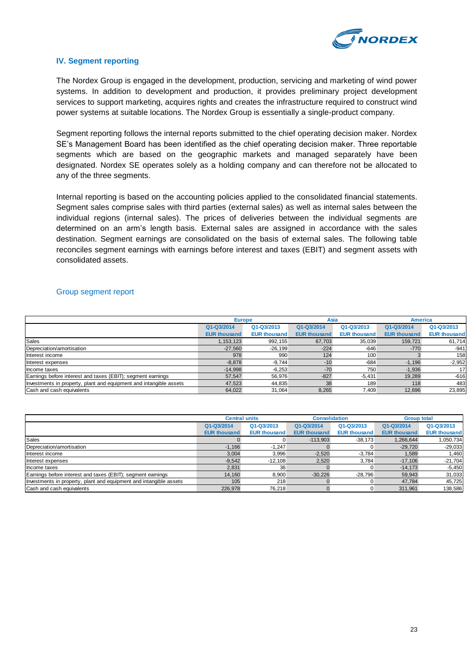

### **IV. Segment reporting**

The Nordex Group is engaged in the development, production, servicing and marketing of wind power systems. In addition to development and production, it provides preliminary project development services to support marketing, acquires rights and creates the infrastructure required to construct wind power systems at suitable locations. The Nordex Group is essentially a single-product company.

Segment reporting follows the internal reports submitted to the chief operating decision maker. Nordex SE's Management Board has been identified as the chief operating decision maker. Three reportable segments which are based on the geographic markets and managed separately have been designated. Nordex SE operates solely as a holding company and can therefore not be allocated to any of the three segments.

Internal reporting is based on the accounting policies applied to the consolidated financial statements. Segment sales comprise sales with third parties (external sales) as well as internal sales between the individual regions (internal sales). The prices of deliveries between the individual segments are determined on an arm's length basis. External sales are assigned in accordance with the sales destination. Segment earnings are consolidated on the basis of external sales. The following table reconciles segment earnings with earnings before interest and taxes (EBIT) and segment assets with consolidated assets.

### Group segment report

|                                                                    | <b>Europe</b>       |                     | Asia                |                     | <b>America</b>      |                     |
|--------------------------------------------------------------------|---------------------|---------------------|---------------------|---------------------|---------------------|---------------------|
|                                                                    | Q1-Q3/2014          | Q1-Q3/2013          | Q1-Q3/2014          | Q1-Q3/2013          | Q1-Q3/2014          | Q1-Q3/2013          |
|                                                                    | <b>EUR thousand</b> | <b>EUR thousand</b> | <b>EUR thousand</b> | <b>EUR thousand</b> | <b>EUR thousand</b> | <b>EUR thousand</b> |
| <b>Sales</b>                                                       | 1,153,123           | 992,155             | 67,703              | 35.039              | 159.721             | 61.714              |
| Depreciation/amortisation                                          | $-27,560$           | $-26,199$           | $-224$              | $-646$              | $-770$              | $-941$              |
| Interest income                                                    | 978                 | 990                 | 124                 | 100                 |                     | 158                 |
| Interest expenses                                                  | $-8,878$            | $-9.744$            | $-10$               | $-684$              | $-1,196$            | $-2,952$            |
| Income taxes                                                       | $-14,998$           | $-6.253$            | $-70$               | 750                 | $-1,936$            | 17                  |
| Earnings before interest and taxes (EBIT); segment earnings        | 57.547              | 56.976              | $-827$              | $-5,431$            | 19,289              | $-616$              |
| Investments in property, plant and equipment and intangible assets | 47,523              | 44,835              | 38                  | 189                 | 118                 | 483                 |
| Cash and cash equivalents                                          | 64.022              | 31.064              | 8.265               | 7.409               | 12.696              | 23,895              |

|                                                                    | <b>Central units</b> |                     | <b>Consolidation</b> |                     | <b>Group total</b>  |                     |
|--------------------------------------------------------------------|----------------------|---------------------|----------------------|---------------------|---------------------|---------------------|
|                                                                    | Q1-Q3/2014           | Q1-Q3/2013          | Q1-Q3/2014           | Q1-Q3/2013          | Q1-Q3/2014          | Q1-Q3/2013          |
|                                                                    | <b>EUR thousand</b>  | <b>EUR thousand</b> | <b>EUR thousand</b>  | <b>EUR thousand</b> | <b>EUR thousand</b> | <b>EUR thousand</b> |
| Sales                                                              |                      |                     | $-113,903$           | $-38,173$           | 1.266.644           | 1,050,734           |
| Depreciation/amortisation                                          | $-1.166$             | $-1.247$            |                      |                     | $-29,720$           | $-29,033$           |
| Interest income                                                    | 3,004                | 3,996               | $-2,520$             | $-3.784$            | 1,589               | 1,460               |
| Interest expenses                                                  | $-9.542$             | $-12,108$           | 2,520                | 3.784               | $-17.106$           | $-21,704$           |
| Income taxes                                                       | 2,831                | 36                  |                      |                     | $-14.173$           | $-5,450$            |
| Earnings before interest and taxes (EBIT); segment earnings        | 14,160               | 8.900               | $-30,226$            | $-28.796$           | 59.943              | 31,033              |
| Investments in property, plant and equipment and intangible assets | 105                  | 218                 |                      |                     | 47.784              | 45,725              |
| Cash and cash equivalents                                          | 226.978              | 76.218              |                      |                     | 311.961             | 138,586             |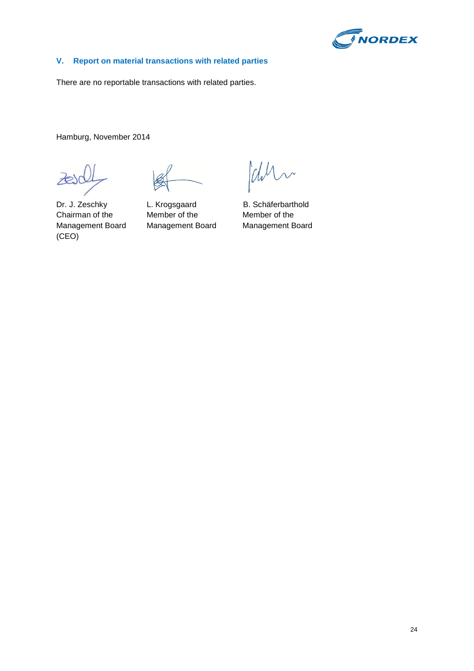

### **V. Report on material transactions with related parties**

There are no reportable transactions with related parties.

Hamburg, November 2014

 $\overline{\lambda}$ 

Chin

Dr. J. Zeschky L. Krogsgaard B. Schäferbarthold (CEO)

Chairman of the Member of the Member of the Management Board Management Board Management Board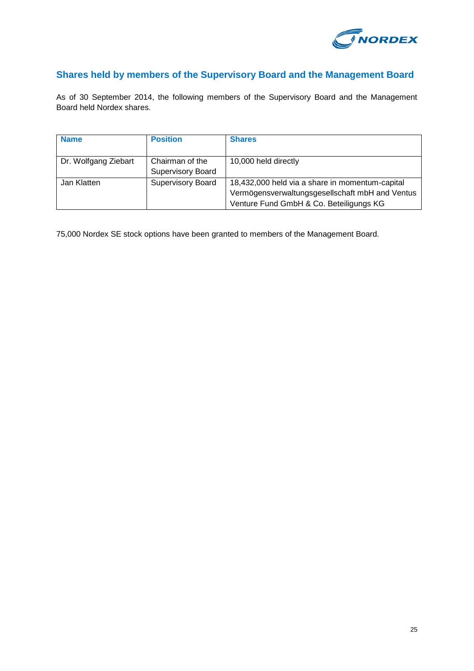

# **Shares held by members of the Supervisory Board and the Management Board**

As of 30 September 2014, the following members of the Supervisory Board and the Management Board held Nordex shares.

| <b>Name</b>          | <b>Position</b>          | <b>Shares</b>                                   |
|----------------------|--------------------------|-------------------------------------------------|
|                      |                          |                                                 |
| Dr. Wolfgang Ziebart | Chairman of the          | 10,000 held directly                            |
|                      | <b>Supervisory Board</b> |                                                 |
| Jan Klatten          | <b>Supervisory Board</b> | 18,432,000 held via a share in momentum-capital |
|                      |                          | Vermögensverwaltungsgesellschaft mbH and Ventus |
|                      |                          | Venture Fund GmbH & Co. Beteiligungs KG         |

75,000 Nordex SE stock options have been granted to members of the Management Board.